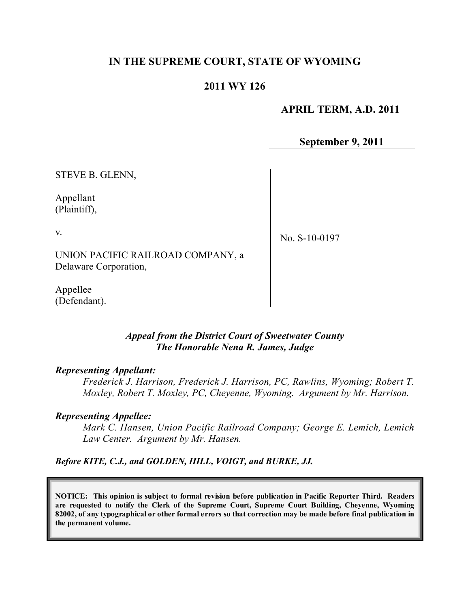## **IN THE SUPREME COURT, STATE OF WYOMING**

### **2011 WY 126**

 **APRIL TERM, A.D. 2011**

**September 9, 2011**

STEVE B. GLENN,

Appellant (Plaintiff),

v.

No. S-10-0197

UNION PACIFIC RAILROAD COMPANY, a Delaware Corporation,

Appellee (Defendant).

#### *Appeal from the District Court of Sweetwater County The Honorable Nena R. James, Judge*

#### *Representing Appellant:*

*Frederick J. Harrison, Frederick J. Harrison, PC, Rawlins, Wyoming; Robert T. Moxley, Robert T. Moxley, PC, Cheyenne, Wyoming. Argument by Mr. Harrison.* 

#### *Representing Appellee:*

*Mark C. Hansen, Union Pacific Railroad Company; George E. Lemich, Lemich Law Center. Argument by Mr. Hansen.*

*Before KITE, C.J., and GOLDEN, HILL, VOIGT, and BURKE, JJ.*

**NOTICE: This opinion is subject to formal revision before publication in Pacific Reporter Third. Readers are requested to notify the Clerk of the Supreme Court, Supreme Court Building, Cheyenne, Wyoming** 82002, of any typographical or other formal errors so that correction may be made before final publication in **the permanent volume.**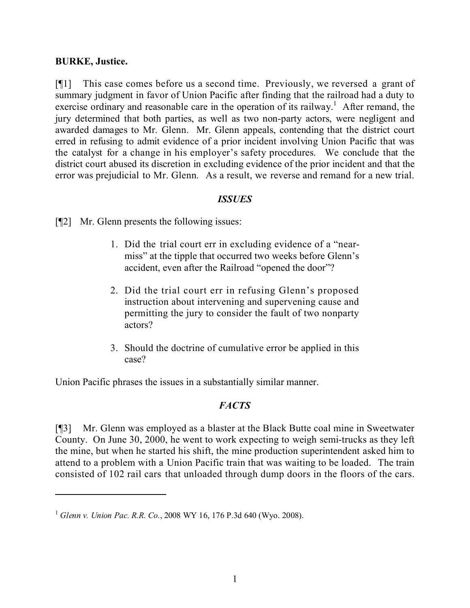#### **BURKE, Justice.**

[¶1] This case comes before us a second time. Previously, we reversed a grant of summary judgment in favor of Union Pacific after finding that the railroad had a duty to exercise ordinary and reasonable care in the operation of its railway.<sup>1</sup> After remand, the jury determined that both parties, as well as two non-party actors, were negligent and awarded damages to Mr. Glenn. Mr. Glenn appeals, contending that the district court erred in refusing to admit evidence of a prior incident involving Union Pacific that was the catalyst for a change in his employer's safety procedures. We conclude that the district court abused its discretion in excluding evidence of the prior incident and that the error was prejudicial to Mr. Glenn. As a result, we reverse and remand for a new trial.

### *ISSUES*

[¶2] Mr. Glenn presents the following issues:

- 1. Did the trial court err in excluding evidence of a "nearmiss" at the tipple that occurred two weeks before Glenn's accident, even after the Railroad "opened the door"?
- 2. Did the trial court err in refusing Glenn's proposed instruction about intervening and supervening cause and permitting the jury to consider the fault of two nonparty actors?
- 3. Should the doctrine of cumulative error be applied in this case?

Union Pacific phrases the issues in a substantially similar manner.

### *FACTS*

[¶3] Mr. Glenn was employed as a blaster at the Black Butte coal mine in Sweetwater County. On June 30, 2000, he went to work expecting to weigh semi-trucks as they left the mine, but when he started his shift, the mine production superintendent asked him to attend to a problem with a Union Pacific train that was waiting to be loaded. The train consisted of 102 rail cars that unloaded through dump doors in the floors of the cars.

<sup>1</sup> *Glenn v. Union Pac. R.R. Co.*, 2008 WY 16, 176 P.3d 640 (Wyo. 2008).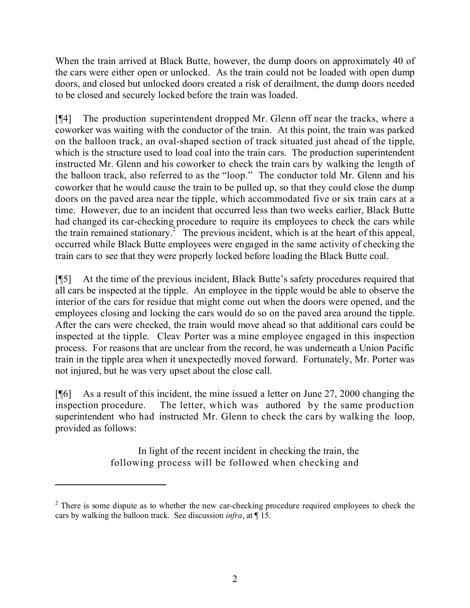When the train arrived at Black Butte, however, the dump doors on approximately 40 of the cars were either open or unlocked. As the train could not be loaded with open dump doors, and closed but unlocked doors created a risk of derailment, the dump doors needed to be closed and securely locked before the train was loaded.

[¶4] The production superintendent dropped Mr. Glenn off near the tracks, where a coworker was waiting with the conductor of the train. At this point, the train was parked on the balloon track, an oval-shaped section of track situated just ahead of the tipple, which is the structure used to load coal into the train cars. The production superintendent instructed Mr. Glenn and his coworker to check the train cars by walking the length of the balloon track, also referred to as the "loop." The conductor told Mr. Glenn and his coworker that he would cause the train to be pulled up, so that they could close the dump doors on the paved area near the tipple, which accommodated five or six train cars at a time. However, due to an incident that occurred less than two weeks earlier, Black Butte had changed its car-checking procedure to require its employees to check the cars while the train remained stationary.<sup>2</sup> The previous incident, which is at the heart of this appeal, occurred while Black Butte employees were engaged in the same activity of checking the train cars to see that they were properly locked before loading the Black Butte coal.

[¶5] At the time of the previous incident, Black Butte's safety procedures required that all cars be inspected at the tipple. An employee in the tipple would be able to observe the interior of the cars for residue that might come out when the doors were opened, and the employees closing and locking the cars would do so on the paved area around the tipple. After the cars were checked, the train would move ahead so that additional cars could be inspected at the tipple. Cleav Porter was a mine employee engaged in this inspection process. For reasons that are unclear from the record, he was underneath a Union Pacific train in the tipple area when it unexpectedly moved forward. Fortunately, Mr. Porter was not injured, but he was very upset about the close call.

[¶6] As a result of this incident, the mine issued a letter on June 27, 2000 changing the inspection procedure. The letter, which was authored by the same production superintendent who had instructed Mr. Glenn to check the cars by walking the loop, provided as follows:

> In light of the recent incident in checking the train, the following process will be followed when checking and

<sup>&</sup>lt;sup>2</sup> There is some dispute as to whether the new car-checking procedure required employees to check the cars by walking the balloon track. See discussion *infra*, at ¶ 15.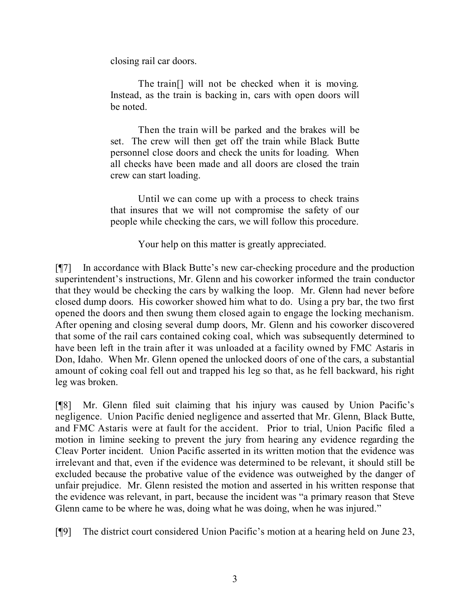closing rail car doors.

The train[] will not be checked when it is moving. Instead, as the train is backing in, cars with open doors will be noted.

Then the train will be parked and the brakes will be set. The crew will then get off the train while Black Butte personnel close doors and check the units for loading. When all checks have been made and all doors are closed the train crew can start loading.

Until we can come up with a process to check trains that insures that we will not compromise the safety of our people while checking the cars, we will follow this procedure.

Your help on this matter is greatly appreciated.

[¶7] In accordance with Black Butte's new car-checking procedure and the production superintendent's instructions, Mr. Glenn and his coworker informed the train conductor that they would be checking the cars by walking the loop. Mr. Glenn had never before closed dump doors. His coworker showed him what to do. Using a pry bar, the two first opened the doors and then swung them closed again to engage the locking mechanism. After opening and closing several dump doors, Mr. Glenn and his coworker discovered that some of the rail cars contained coking coal, which was subsequently determined to have been left in the train after it was unloaded at a facility owned by FMC Astaris in Don, Idaho. When Mr. Glenn opened the unlocked doors of one of the cars, a substantial amount of coking coal fell out and trapped his leg so that, as he fell backward, his right leg was broken.

[¶8] Mr. Glenn filed suit claiming that his injury was caused by Union Pacific's negligence. Union Pacific denied negligence and asserted that Mr. Glenn, Black Butte, and FMC Astaris were at fault for the accident. Prior to trial, Union Pacific filed a motion in limine seeking to prevent the jury from hearing any evidence regarding the Cleav Porter incident. Union Pacific asserted in its written motion that the evidence was irrelevant and that, even if the evidence was determined to be relevant, it should still be excluded because the probative value of the evidence was outweighed by the danger of unfair prejudice. Mr. Glenn resisted the motion and asserted in his written response that the evidence was relevant, in part, because the incident was "a primary reason that Steve Glenn came to be where he was, doing what he was doing, when he was injured."

[¶9] The district court considered Union Pacific's motion at a hearing held on June 23,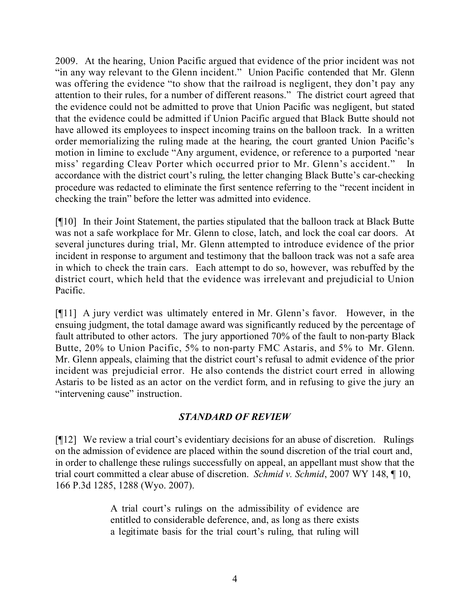2009. At the hearing, Union Pacific argued that evidence of the prior incident was not "in any way relevant to the Glenn incident." Union Pacific contended that Mr. Glenn was offering the evidence "to show that the railroad is negligent, they don't pay any attention to their rules, for a number of different reasons." The district court agreed that the evidence could not be admitted to prove that Union Pacific was negligent, but stated that the evidence could be admitted if Union Pacific argued that Black Butte should not have allowed its employees to inspect incoming trains on the balloon track. In a written order memorializing the ruling made at the hearing, the court granted Union Pacific's motion in limine to exclude "Any argument, evidence, or reference to a purported 'near miss' regarding Cleav Porter which occurred prior to Mr. Glenn's accident." accordance with the district court's ruling, the letter changing Black Butte's car-checking procedure was redacted to eliminate the first sentence referring to the "recent incident in checking the train" before the letter was admitted into evidence.

[¶10] In their Joint Statement, the parties stipulated that the balloon track at Black Butte was not a safe workplace for Mr. Glenn to close, latch, and lock the coal car doors. At several junctures during trial, Mr. Glenn attempted to introduce evidence of the prior incident in response to argument and testimony that the balloon track was not a safe area in which to check the train cars. Each attempt to do so, however, was rebuffed by the district court, which held that the evidence was irrelevant and prejudicial to Union Pacific.

[¶11] A jury verdict was ultimately entered in Mr. Glenn's favor. However, in the ensuing judgment, the total damage award was significantly reduced by the percentage of fault attributed to other actors. The jury apportioned 70% of the fault to non-party Black Butte, 20% to Union Pacific, 5% to non-party FMC Astaris, and 5% to Mr. Glenn. Mr. Glenn appeals, claiming that the district court's refusal to admit evidence of the prior incident was prejudicial error. He also contends the district court erred in allowing Astaris to be listed as an actor on the verdict form, and in refusing to give the jury an "intervening cause" instruction.

# *STANDARD OF REVIEW*

[¶12] We review a trial court's evidentiary decisions for an abuse of discretion. Rulings on the admission of evidence are placed within the sound discretion of the trial court and, in order to challenge these rulings successfully on appeal, an appellant must show that the trial court committed a clear abuse of discretion. *Schmid v. Schmid*, 2007 WY 148, ¶ 10, 166 P.3d 1285, 1288 (Wyo. 2007).

> A trial court's rulings on the admissibility of evidence are entitled to considerable deference, and, as long as there exists a legitimate basis for the trial court's ruling, that ruling will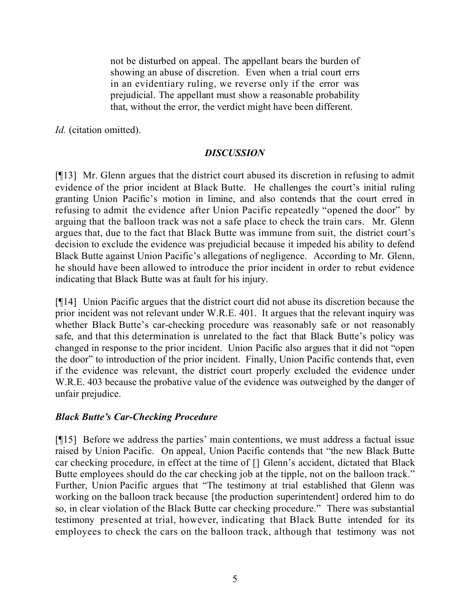not be disturbed on appeal. The appellant bears the burden of showing an abuse of discretion. Even when a trial court errs in an evidentiary ruling, we reverse only if the error was prejudicial. The appellant must show a reasonable probability that, without the error, the verdict might have been different.

*Id.* (citation omitted).

### *DISCUSSION*

[¶13] Mr. Glenn argues that the district court abused its discretion in refusing to admit evidence of the prior incident at Black Butte. He challenges the court's initial ruling granting Union Pacific's motion in limine, and also contends that the court erred in refusing to admit the evidence after Union Pacific repeatedly "opened the door" by arguing that the balloon track was not a safe place to check the train cars. Mr. Glenn argues that, due to the fact that Black Butte was immune from suit, the district court's decision to exclude the evidence was prejudicial because it impeded his ability to defend Black Butte against Union Pacific's allegations of negligence. According to Mr. Glenn, he should have been allowed to introduce the prior incident in order to rebut evidence indicating that Black Butte was at fault for his injury.

[¶14] Union Pacific argues that the district court did not abuse its discretion because the prior incident was not relevant under W.R.E. 401. It argues that the relevant inquiry was whether Black Butte's car-checking procedure was reasonably safe or not reasonably safe, and that this determination is unrelated to the fact that Black Butte's policy was changed in response to the prior incident. Union Pacific also argues that it did not "open the door" to introduction of the prior incident. Finally, Union Pacific contends that, even if the evidence was relevant, the district court properly excluded the evidence under W.R.E. 403 because the probative value of the evidence was outweighed by the danger of unfair prejudice.

### *Black Butte's Car-Checking Procedure*

[¶15] Before we address the parties' main contentions, we must address a factual issue raised by Union Pacific. On appeal, Union Pacific contends that "the new Black Butte car checking procedure, in effect at the time of [] Glenn's accident, dictated that Black Butte employees should do the car checking job at the tipple, not on the balloon track." Further, Union Pacific argues that "The testimony at trial established that Glenn was working on the balloon track because [the production superintendent] ordered him to do so, in clear violation of the Black Butte car checking procedure." There was substantial testimony presented at trial, however, indicating that Black Butte intended for its employees to check the cars on the balloon track, although that testimony was not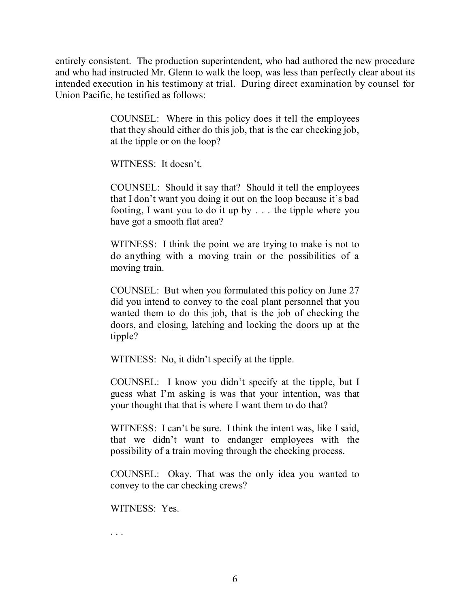entirely consistent. The production superintendent, who had authored the new procedure and who had instructed Mr. Glenn to walk the loop, was less than perfectly clear about its intended execution in his testimony at trial. During direct examination by counsel for Union Pacific, he testified as follows:

> COUNSEL: Where in this policy does it tell the employees that they should either do this job, that is the car checking job, at the tipple or on the loop?

WITNESS: It doesn't.

COUNSEL: Should it say that? Should it tell the employees that I don't want you doing it out on the loop because it's bad footing, I want you to do it up by . . . the tipple where you have got a smooth flat area?

WITNESS: I think the point we are trying to make is not to do anything with a moving train or the possibilities of a moving train.

COUNSEL: But when you formulated this policy on June 27 did you intend to convey to the coal plant personnel that you wanted them to do this job, that is the job of checking the doors, and closing, latching and locking the doors up at the tipple?

WITNESS: No, it didn't specify at the tipple.

COUNSEL: I know you didn't specify at the tipple, but I guess what I'm asking is was that your intention, was that your thought that that is where I want them to do that?

WITNESS: I can't be sure. I think the intent was, like I said, that we didn't want to endanger employees with the possibility of a train moving through the checking process.

COUNSEL: Okay. That was the only idea you wanted to convey to the car checking crews?

WITNESS: Yes.

. . .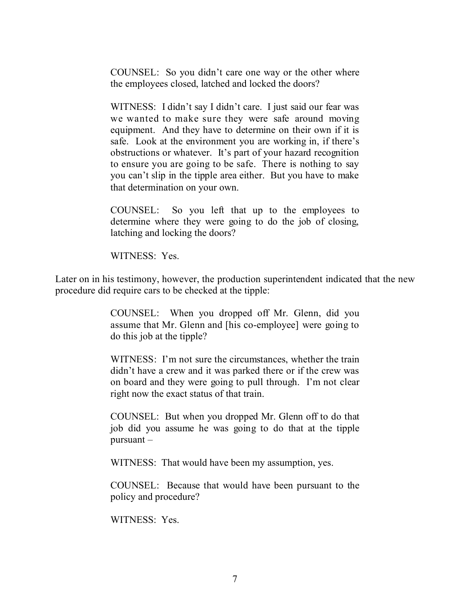COUNSEL: So you didn't care one way or the other where the employees closed, latched and locked the doors?

WITNESS: I didn't say I didn't care. I just said our fear was we wanted to make sure they were safe around moving equipment. And they have to determine on their own if it is safe. Look at the environment you are working in, if there's obstructions or whatever. It's part of your hazard recognition to ensure you are going to be safe. There is nothing to say you can't slip in the tipple area either. But you have to make that determination on your own.

COUNSEL: So you left that up to the employees to determine where they were going to do the job of closing, latching and locking the doors?

WITNESS: Yes.

Later on in his testimony, however, the production superintendent indicated that the new procedure did require cars to be checked at the tipple:

> COUNSEL: When you dropped off Mr. Glenn, did you assume that Mr. Glenn and [his co-employee] were going to do this job at the tipple?

> WITNESS: I'm not sure the circumstances, whether the train didn't have a crew and it was parked there or if the crew was on board and they were going to pull through. I'm not clear right now the exact status of that train.

> COUNSEL: But when you dropped Mr. Glenn off to do that job did you assume he was going to do that at the tipple pursuant –

WITNESS: That would have been my assumption, yes.

COUNSEL: Because that would have been pursuant to the policy and procedure?

WITNESS: Yes.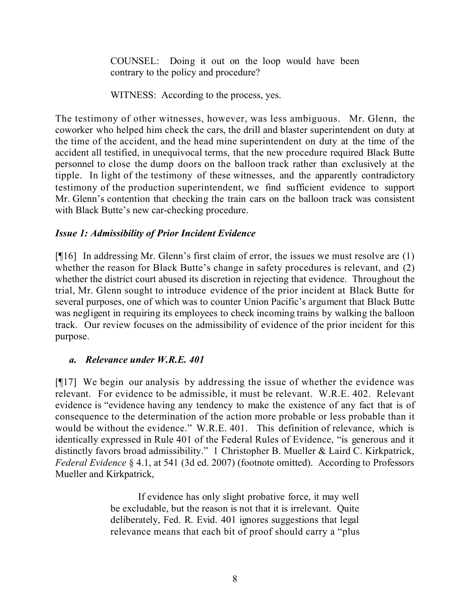COUNSEL: Doing it out on the loop would have been contrary to the policy and procedure?

WITNESS: According to the process, yes.

The testimony of other witnesses, however, was less ambiguous. Mr. Glenn, the coworker who helped him check the cars, the drill and blaster superintendent on duty at the time of the accident, and the head mine superintendent on duty at the time of the accident all testified, in unequivocal terms, that the new procedure required Black Butte personnel to close the dump doors on the balloon track rather than exclusively at the tipple. In light of the testimony of these witnesses, and the apparently contradictory testimony of the production superintendent, we find sufficient evidence to support Mr. Glenn's contention that checking the train cars on the balloon track was consistent with Black Butte's new car-checking procedure.

# *Issue 1: Admissibility of Prior Incident Evidence*

[¶16] In addressing Mr. Glenn's first claim of error, the issues we must resolve are (1) whether the reason for Black Butte's change in safety procedures is relevant, and (2) whether the district court abused its discretion in rejecting that evidence. Throughout the trial, Mr. Glenn sought to introduce evidence of the prior incident at Black Butte for several purposes, one of which was to counter Union Pacific's argument that Black Butte was negligent in requiring its employees to check incoming trains by walking the balloon track. Our review focuses on the admissibility of evidence of the prior incident for this purpose.

# *a. Relevance under W.R.E. 401*

[¶17] We begin our analysis by addressing the issue of whether the evidence was relevant. For evidence to be admissible, it must be relevant. W.R.E. 402. Relevant evidence is "evidence having any tendency to make the existence of any fact that is of consequence to the determination of the action more probable or less probable than it would be without the evidence." W.R.E. 401. This definition of relevance, which is identically expressed in Rule 401 of the Federal Rules of Evidence, "is generous and it distinctly favors broad admissibility." 1 Christopher B. Mueller & Laird C. Kirkpatrick, *Federal Evidence* § 4.1, at 541 (3d ed. 2007) (footnote omitted). According to Professors Mueller and Kirkpatrick,

> If evidence has only slight probative force, it may well be excludable, but the reason is not that it is irrelevant. Quite deliberately, Fed. R. Evid. 401 ignores suggestions that legal relevance means that each bit of proof should carry a "plus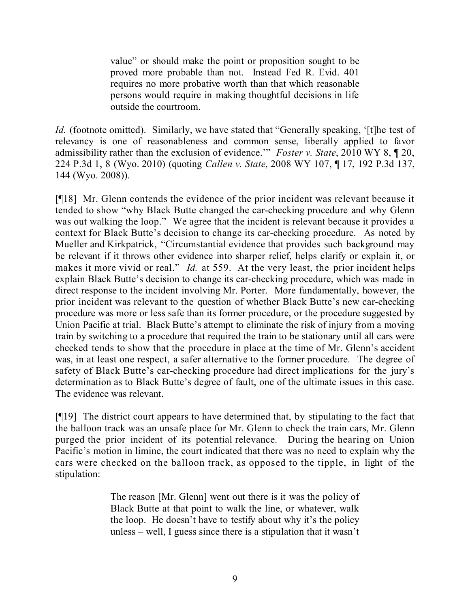value" or should make the point or proposition sought to be proved more probable than not. Instead Fed R. Evid. 401 requires no more probative worth than that which reasonable persons would require in making thoughtful decisions in life outside the courtroom.

*Id.* (footnote omitted). Similarly, we have stated that "Generally speaking, '[t]he test of relevancy is one of reasonableness and common sense, liberally applied to favor admissibility rather than the exclusion of evidence.'" *Foster v. State*, 2010 WY 8, ¶ 20, 224 P.3d 1, 8 (Wyo. 2010) (quoting *Callen v. State*, 2008 WY 107, ¶ 17, 192 P.3d 137, 144 (Wyo. 2008)).

[¶18] Mr. Glenn contends the evidence of the prior incident was relevant because it tended to show "why Black Butte changed the car-checking procedure and why Glenn was out walking the loop." We agree that the incident is relevant because it provides a context for Black Butte's decision to change its car-checking procedure. As noted by Mueller and Kirkpatrick, "Circumstantial evidence that provides such background may be relevant if it throws other evidence into sharper relief, helps clarify or explain it, or makes it more vivid or real." *Id.* at 559. At the very least, the prior incident helps explain Black Butte's decision to change its car-checking procedure, which was made in direct response to the incident involving Mr. Porter. More fundamentally, however, the prior incident was relevant to the question of whether Black Butte's new car-checking procedure was more or less safe than its former procedure, or the procedure suggested by Union Pacific at trial. Black Butte's attempt to eliminate the risk of injury from a moving train by switching to a procedure that required the train to be stationary until all cars were checked tends to show that the procedure in place at the time of Mr. Glenn's accident was, in at least one respect, a safer alternative to the former procedure. The degree of safety of Black Butte's car-checking procedure had direct implications for the jury's determination as to Black Butte's degree of fault, one of the ultimate issues in this case. The evidence was relevant.

[¶19] The district court appears to have determined that, by stipulating to the fact that the balloon track was an unsafe place for Mr. Glenn to check the train cars, Mr. Glenn purged the prior incident of its potential relevance. During the hearing on Union Pacific's motion in limine, the court indicated that there was no need to explain why the cars were checked on the balloon track, as opposed to the tipple, in light of the stipulation:

> The reason [Mr. Glenn] went out there is it was the policy of Black Butte at that point to walk the line, or whatever, walk the loop. He doesn't have to testify about why it's the policy unless – well, I guess since there is a stipulation that it wasn't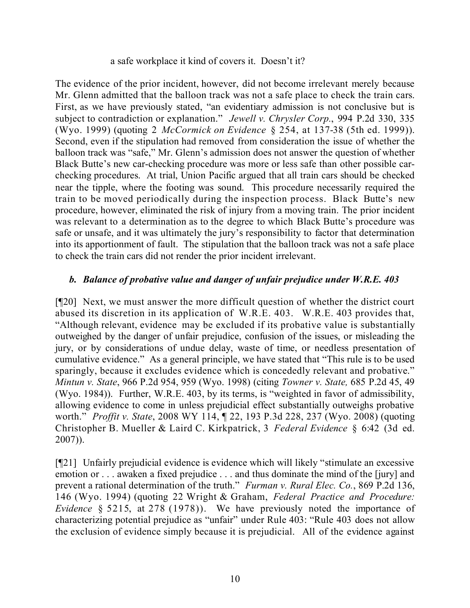#### a safe workplace it kind of covers it. Doesn't it?

The evidence of the prior incident, however, did not become irrelevant merely because Mr. Glenn admitted that the balloon track was not a safe place to check the train cars. First, as we have previously stated, "an evidentiary admission is not conclusive but is subject to contradiction or explanation." *Jewell v. Chrysler Corp.*, 994 P.2d 330, 335 (Wyo. 1999) (quoting 2 *McCormick on Evidence* § 254, at 137-38 (5th ed. 1999)). Second, even if the stipulation had removed from consideration the issue of whether the balloon track was "safe," Mr. Glenn's admission does not answer the question of whether Black Butte's new car-checking procedure was more or less safe than other possible carchecking procedures. At trial, Union Pacific argued that all train cars should be checked near the tipple, where the footing was sound. This procedure necessarily required the train to be moved periodically during the inspection process. Black Butte's new procedure, however, eliminated the risk of injury from a moving train. The prior incident was relevant to a determination as to the degree to which Black Butte's procedure was safe or unsafe, and it was ultimately the jury's responsibility to factor that determination into its apportionment of fault. The stipulation that the balloon track was not a safe place to check the train cars did not render the prior incident irrelevant.

# *b. Balance of probative value and danger of unfair prejudice under W.R.E. 403*

[¶20] Next, we must answer the more difficult question of whether the district court abused its discretion in its application of W.R.E. 403. W.R.E. 403 provides that, "Although relevant, evidence may be excluded if its probative value is substantially outweighed by the danger of unfair prejudice, confusion of the issues, or misleading the jury, or by considerations of undue delay, waste of time, or needless presentation of cumulative evidence." As a general principle, we have stated that "This rule is to be used sparingly, because it excludes evidence which is concededly relevant and probative." *Mintun v. State*, 966 P.2d 954, 959 (Wyo. 1998) (citing *Towner v. State,* 685 P.2d 45, 49 (Wyo. 1984)). Further, W.R.E. 403, by its terms, is "weighted in favor of admissibility, allowing evidence to come in unless prejudicial effect substantially outweighs probative worth." *Proffit v. State*, 2008 WY 114, ¶ 22, 193 P.3d 228, 237 (Wyo. 2008) (quoting Christopher B. Mueller & Laird C. Kirkpatrick, 3 *Federal Evidence* § 6:42 (3d ed. 2007)).

[¶21] Unfairly prejudicial evidence is evidence which will likely "stimulate an excessive emotion or . . . awaken a fixed prejudice . . . and thus dominate the mind of the [jury] and prevent a rational determination of the truth." *Furman v. Rural Elec. Co.*, 869 P.2d 136, 146 (Wyo. 1994) (quoting 22 Wright & Graham, *Federal Practice and Procedure: Evidence* § 5215, at 278 (1978)). We have previously noted the importance of characterizing potential prejudice as "unfair" under Rule 403: "Rule 403 does not allow the exclusion of evidence simply because it is prejudicial. All of the evidence against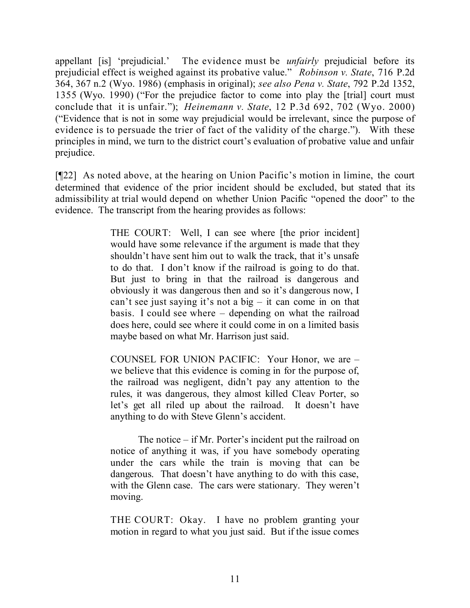appellant [is] 'prejudicial.' The evidence must be *unfairly* prejudicial before its prejudicial effect is weighed against its probative value." *Robinson v. State*, 716 P.2d 364, 367 n.2 (Wyo. 1986) (emphasis in original); *see also Pena v. State*, 792 P.2d 1352, 1355 (Wyo. 1990) ("For the prejudice factor to come into play the [trial] court must conclude that it is unfair."); *Heinemann v. State*, 12 P.3d 692, 702 (Wyo. 2000) ("Evidence that is not in some way prejudicial would be irrelevant, since the purpose of evidence is to persuade the trier of fact of the validity of the charge."). With these principles in mind, we turn to the district court's evaluation of probative value and unfair prejudice.

[¶22] As noted above, at the hearing on Union Pacific's motion in limine, the court determined that evidence of the prior incident should be excluded, but stated that its admissibility at trial would depend on whether Union Pacific "opened the door" to the evidence. The transcript from the hearing provides as follows:

> THE COURT: Well, I can see where [the prior incident] would have some relevance if the argument is made that they shouldn't have sent him out to walk the track, that it's unsafe to do that. I don't know if the railroad is going to do that. But just to bring in that the railroad is dangerous and obviously it was dangerous then and so it's dangerous now, I can't see just saying it's not a big – it can come in on that basis. I could see where – depending on what the railroad does here, could see where it could come in on a limited basis maybe based on what Mr. Harrison just said.

> COUNSEL FOR UNION PACIFIC: Your Honor, we are – we believe that this evidence is coming in for the purpose of, the railroad was negligent, didn't pay any attention to the rules, it was dangerous, they almost killed Cleav Porter, so let's get all riled up about the railroad. It doesn't have anything to do with Steve Glenn's accident.

> The notice – if Mr. Porter's incident put the railroad on notice of anything it was, if you have somebody operating under the cars while the train is moving that can be dangerous. That doesn't have anything to do with this case, with the Glenn case. The cars were stationary. They weren't moving.

> THE COURT: Okay. I have no problem granting your motion in regard to what you just said. But if the issue comes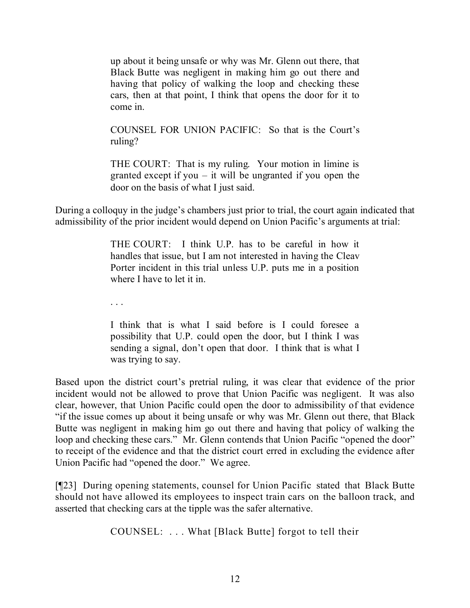up about it being unsafe or why was Mr. Glenn out there, that Black Butte was negligent in making him go out there and having that policy of walking the loop and checking these cars, then at that point, I think that opens the door for it to come in.

COUNSEL FOR UNION PACIFIC: So that is the Court's ruling?

THE COURT: That is my ruling. Your motion in limine is granted except if you – it will be ungranted if you open the door on the basis of what I just said.

During a colloquy in the judge's chambers just prior to trial, the court again indicated that admissibility of the prior incident would depend on Union Pacific's arguments at trial:

> THE COURT: I think U.P. has to be careful in how it handles that issue, but I am not interested in having the Cleav Porter incident in this trial unless U.P. puts me in a position where I have to let it in.

. . .

I think that is what I said before is I could foresee a possibility that U.P. could open the door, but I think I was sending a signal, don't open that door. I think that is what I was trying to say.

Based upon the district court's pretrial ruling, it was clear that evidence of the prior incident would not be allowed to prove that Union Pacific was negligent. It was also clear, however, that Union Pacific could open the door to admissibility of that evidence "if the issue comes up about it being unsafe or why was Mr. Glenn out there, that Black Butte was negligent in making him go out there and having that policy of walking the loop and checking these cars." Mr. Glenn contends that Union Pacific "opened the door" to receipt of the evidence and that the district court erred in excluding the evidence after Union Pacific had "opened the door." We agree.

[¶23] During opening statements, counsel for Union Pacific stated that Black Butte should not have allowed its employees to inspect train cars on the balloon track, and asserted that checking cars at the tipple was the safer alternative.

COUNSEL: . . . What [Black Butte] forgot to tell their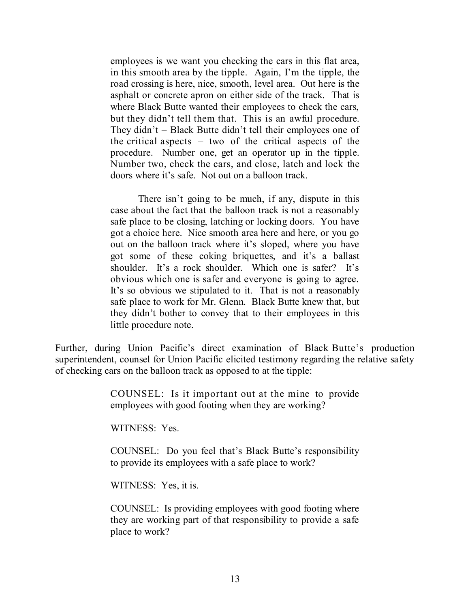employees is we want you checking the cars in this flat area, in this smooth area by the tipple. Again, I'm the tipple, the road crossing is here, nice, smooth, level area. Out here is the asphalt or concrete apron on either side of the track. That is where Black Butte wanted their employees to check the cars, but they didn't tell them that. This is an awful procedure. They didn't – Black Butte didn't tell their employees one of the critical aspects – two of the critical aspects of the procedure. Number one, get an operator up in the tipple. Number two, check the cars, and close, latch and lock the doors where it's safe. Not out on a balloon track.

There isn't going to be much, if any, dispute in this case about the fact that the balloon track is not a reasonably safe place to be closing, latching or locking doors. You have got a choice here. Nice smooth area here and here, or you go out on the balloon track where it's sloped, where you have got some of these coking briquettes, and it's a ballast shoulder. It's a rock shoulder. Which one is safer? It's obvious which one is safer and everyone is going to agree. It's so obvious we stipulated to it. That is not a reasonably safe place to work for Mr. Glenn. Black Butte knew that, but they didn't bother to convey that to their employees in this little procedure note.

Further, during Union Pacific's direct examination of Black Butte's production superintendent, counsel for Union Pacific elicited testimony regarding the relative safety of checking cars on the balloon track as opposed to at the tipple:

> COUNSEL: Is it important out at the mine to provide employees with good footing when they are working?

WITNESS: Yes.

COUNSEL: Do you feel that's Black Butte's responsibility to provide its employees with a safe place to work?

WITNESS: Yes, it is.

COUNSEL: Is providing employees with good footing where they are working part of that responsibility to provide a safe place to work?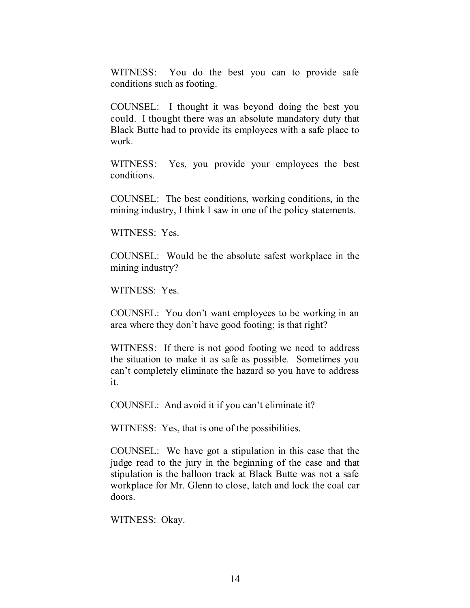WITNESS: You do the best you can to provide safe conditions such as footing.

COUNSEL: I thought it was beyond doing the best you could. I thought there was an absolute mandatory duty that Black Butte had to provide its employees with a safe place to work.

WITNESS: Yes, you provide your employees the best conditions.

COUNSEL: The best conditions, working conditions, in the mining industry, I think I saw in one of the policy statements.

WITNESS: Yes.

COUNSEL: Would be the absolute safest workplace in the mining industry?

WITNESS: Yes.

COUNSEL: You don't want employees to be working in an area where they don't have good footing; is that right?

WITNESS: If there is not good footing we need to address the situation to make it as safe as possible. Sometimes you can't completely eliminate the hazard so you have to address it.

COUNSEL: And avoid it if you can't eliminate it?

WITNESS: Yes, that is one of the possibilities.

COUNSEL: We have got a stipulation in this case that the judge read to the jury in the beginning of the case and that stipulation is the balloon track at Black Butte was not a safe workplace for Mr. Glenn to close, latch and lock the coal car doors.

WITNESS: Okay.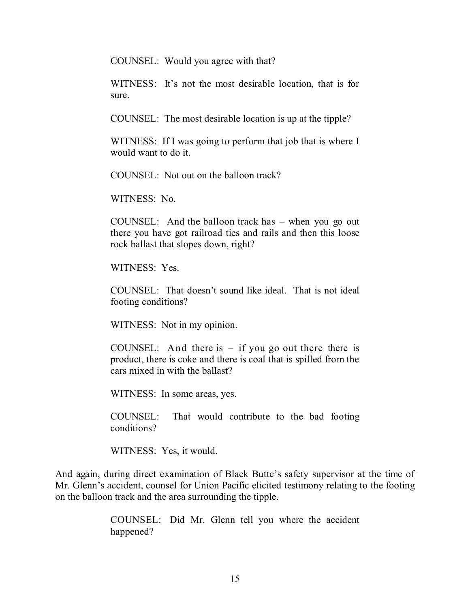COUNSEL: Would you agree with that?

WITNESS: It's not the most desirable location, that is for sure.

COUNSEL: The most desirable location is up at the tipple?

WITNESS: If I was going to perform that job that is where I would want to do it.

COUNSEL: Not out on the balloon track?

WITNESS: No.

COUNSEL: And the balloon track has – when you go out there you have got railroad ties and rails and then this loose rock ballast that slopes down, right?

WITNESS: Yes.

COUNSEL: That doesn't sound like ideal. That is not ideal footing conditions?

WITNESS: Not in my opinion.

COUNSEL: And there is  $-$  if you go out there there is product, there is coke and there is coal that is spilled from the cars mixed in with the ballast?

WITNESS: In some areas, yes.

COUNSEL: That would contribute to the bad footing conditions?

WITNESS: Yes, it would.

And again, during direct examination of Black Butte's safety supervisor at the time of Mr. Glenn's accident, counsel for Union Pacific elicited testimony relating to the footing on the balloon track and the area surrounding the tipple.

> COUNSEL: Did Mr. Glenn tell you where the accident happened?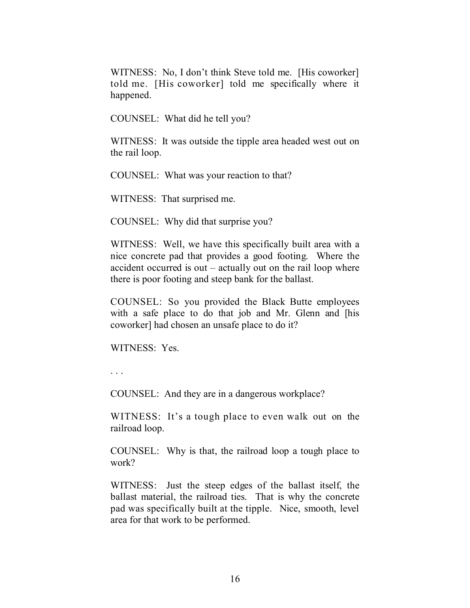WITNESS: No, I don't think Steve told me. [His coworker] told me. [His coworker] told me specifically where it happened.

COUNSEL: What did he tell you?

WITNESS: It was outside the tipple area headed west out on the rail loop.

COUNSEL: What was your reaction to that?

WITNESS: That surprised me.

COUNSEL: Why did that surprise you?

WITNESS: Well, we have this specifically built area with a nice concrete pad that provides a good footing. Where the accident occurred is out – actually out on the rail loop where there is poor footing and steep bank for the ballast.

COUNSEL: So you provided the Black Butte employees with a safe place to do that job and Mr. Glenn and [his coworker] had chosen an unsafe place to do it?

WITNESS: Yes.

. . .

COUNSEL: And they are in a dangerous workplace?

WITNESS: It's a tough place to even walk out on the railroad loop.

COUNSEL: Why is that, the railroad loop a tough place to work?

WITNESS: Just the steep edges of the ballast itself, the ballast material, the railroad ties. That is why the concrete pad was specifically built at the tipple. Nice, smooth, level area for that work to be performed.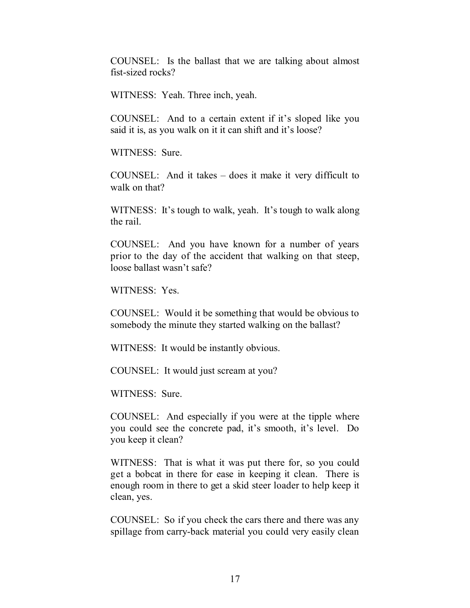COUNSEL: Is the ballast that we are talking about almost fist-sized rocks?

WITNESS: Yeah. Three inch, yeah.

COUNSEL: And to a certain extent if it's sloped like you said it is, as you walk on it it can shift and it's loose?

WITNESS: Sure.

COUNSEL: And it takes – does it make it very difficult to walk on that?

WITNESS: It's tough to walk, yeah. It's tough to walk along the rail.

COUNSEL: And you have known for a number of years prior to the day of the accident that walking on that steep, loose ballast wasn't safe?

WITNESS: Yes.

COUNSEL: Would it be something that would be obvious to somebody the minute they started walking on the ballast?

WITNESS: It would be instantly obvious.

COUNSEL: It would just scream at you?

WITNESS: Sure.

COUNSEL: And especially if you were at the tipple where you could see the concrete pad, it's smooth, it's level. Do you keep it clean?

WITNESS: That is what it was put there for, so you could get a bobcat in there for ease in keeping it clean. There is enough room in there to get a skid steer loader to help keep it clean, yes.

COUNSEL: So if you check the cars there and there was any spillage from carry-back material you could very easily clean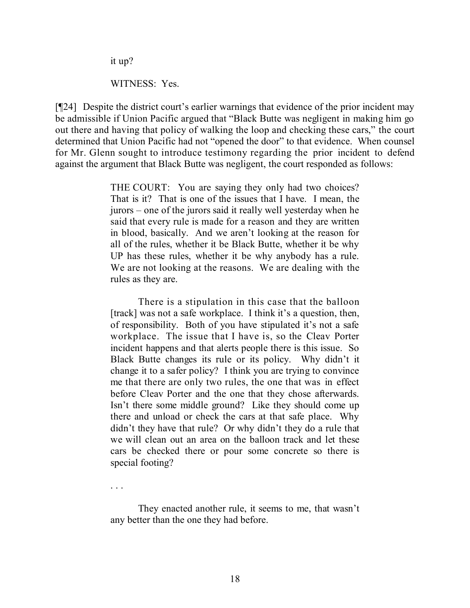it up?

. . .

WITNESS: Yes.

[¶24] Despite the district court's earlier warnings that evidence of the prior incident may be admissible if Union Pacific argued that "Black Butte was negligent in making him go out there and having that policy of walking the loop and checking these cars," the court determined that Union Pacific had not "opened the door" to that evidence. When counsel for Mr. Glenn sought to introduce testimony regarding the prior incident to defend against the argument that Black Butte was negligent, the court responded as follows:

> THE COURT: You are saying they only had two choices? That is it? That is one of the issues that I have. I mean, the jurors – one of the jurors said it really well yesterday when he said that every rule is made for a reason and they are written in blood, basically. And we aren't looking at the reason for all of the rules, whether it be Black Butte, whether it be why UP has these rules, whether it be why anybody has a rule. We are not looking at the reasons. We are dealing with the rules as they are.

> There is a stipulation in this case that the balloon [track] was not a safe workplace. I think it's a question, then, of responsibility. Both of you have stipulated it's not a safe workplace. The issue that I have is, so the Cleav Porter incident happens and that alerts people there is this issue. So Black Butte changes its rule or its policy. Why didn't it change it to a safer policy? I think you are trying to convince me that there are only two rules, the one that was in effect before Cleav Porter and the one that they chose afterwards. Isn't there some middle ground? Like they should come up there and unload or check the cars at that safe place. Why didn't they have that rule? Or why didn't they do a rule that we will clean out an area on the balloon track and let these cars be checked there or pour some concrete so there is special footing?

> They enacted another rule, it seems to me, that wasn't any better than the one they had before.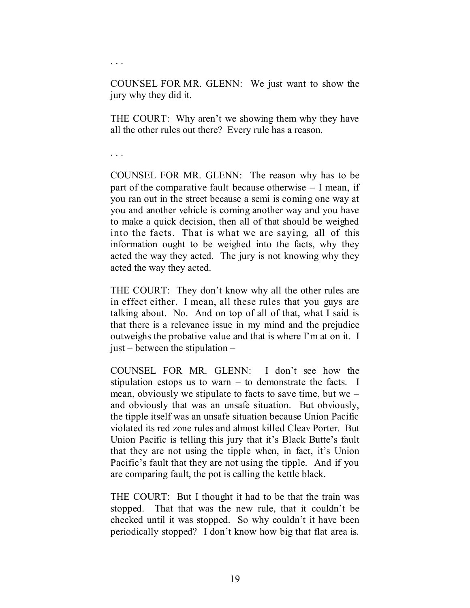COUNSEL FOR MR. GLENN: We just want to show the jury why they did it.

THE COURT: Why aren't we showing them why they have all the other rules out there? Every rule has a reason.

. . .

. . .

COUNSEL FOR MR. GLENN: The reason why has to be part of the comparative fault because otherwise – I mean, if you ran out in the street because a semi is coming one way at you and another vehicle is coming another way and you have to make a quick decision, then all of that should be weighed into the facts. That is what we are saying, all of this information ought to be weighed into the facts, why they acted the way they acted. The jury is not knowing why they acted the way they acted.

THE COURT: They don't know why all the other rules are in effect either. I mean, all these rules that you guys are talking about. No. And on top of all of that, what I said is that there is a relevance issue in my mind and the prejudice outweighs the probative value and that is where I'm at on it. I just – between the stipulation –

COUNSEL FOR MR. GLENN: I don't see how the stipulation estops us to warn – to demonstrate the facts. I mean, obviously we stipulate to facts to save time, but we – and obviously that was an unsafe situation. But obviously, the tipple itself was an unsafe situation because Union Pacific violated its red zone rules and almost killed Cleav Porter. But Union Pacific is telling this jury that it's Black Butte's fault that they are not using the tipple when, in fact, it's Union Pacific's fault that they are not using the tipple. And if you are comparing fault, the pot is calling the kettle black.

THE COURT: But I thought it had to be that the train was stopped. That that was the new rule, that it couldn't be checked until it was stopped. So why couldn't it have been periodically stopped? I don't know how big that flat area is.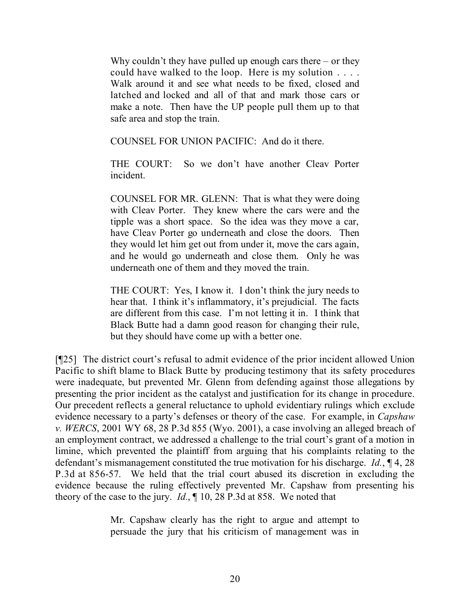Why couldn't they have pulled up enough cars there – or they could have walked to the loop. Here is my solution . . . . Walk around it and see what needs to be fixed, closed and latched and locked and all of that and mark those cars or make a note. Then have the UP people pull them up to that safe area and stop the train.

COUNSEL FOR UNION PACIFIC: And do it there.

THE COURT: So we don't have another Cleav Porter incident.

COUNSEL FOR MR. GLENN: That is what they were doing with Cleav Porter. They knew where the cars were and the tipple was a short space. So the idea was they move a car, have Cleav Porter go underneath and close the doors. Then they would let him get out from under it, move the cars again, and he would go underneath and close them. Only he was underneath one of them and they moved the train.

THE COURT: Yes, I know it. I don't think the jury needs to hear that. I think it's inflammatory, it's prejudicial. The facts are different from this case. I'm not letting it in. I think that Black Butte had a damn good reason for changing their rule, but they should have come up with a better one.

[¶25] The district court's refusal to admit evidence of the prior incident allowed Union Pacific to shift blame to Black Butte by producing testimony that its safety procedures were inadequate, but prevented Mr. Glenn from defending against those allegations by presenting the prior incident as the catalyst and justification for its change in procedure. Our precedent reflects a general reluctance to uphold evidentiary rulings which exclude evidence necessary to a party's defenses or theory of the case. For example, in *Capshaw v. WERCS*, 2001 WY 68, 28 P.3d 855 (Wyo. 2001), a case involving an alleged breach of an employment contract, we addressed a challenge to the trial court's grant of a motion in limine, which prevented the plaintiff from arguing that his complaints relating to the defendant's mismanagement constituted the true motivation for his discharge. *Id.*, ¶ 4, 28 P.3d at 856-57. We held that the trial court abused its discretion in excluding the evidence because the ruling effectively prevented Mr. Capshaw from presenting his theory of the case to the jury. *Id.*, ¶ 10, 28 P.3d at 858. We noted that

> Mr. Capshaw clearly has the right to argue and attempt to persuade the jury that his criticism of management was in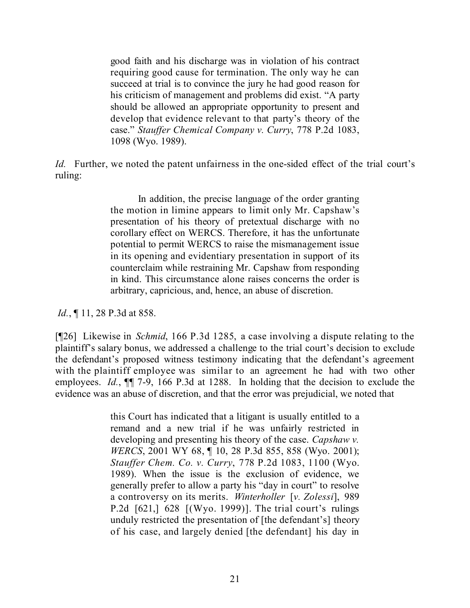good faith and his discharge was in violation of his contract requiring good cause for termination. The only way he can succeed at trial is to convince the jury he had good reason for his criticism of management and problems did exist. "A party should be allowed an appropriate opportunity to present and develop that evidence relevant to that party's theory of the case." *Stauffer Chemical Company v. Curry*, 778 P.2d 1083, 1098 (Wyo. 1989).

*Id.* Further, we noted the patent unfairness in the one-sided effect of the trial court's ruling:

> In addition, the precise language of the order granting the motion in limine appears to limit only Mr. Capshaw's presentation of his theory of pretextual discharge with no corollary effect on WERCS. Therefore, it has the unfortunate potential to permit WERCS to raise the mismanagement issue in its opening and evidentiary presentation in support of its counterclaim while restraining Mr. Capshaw from responding in kind. This circumstance alone raises concerns the order is arbitrary, capricious, and, hence, an abuse of discretion.

*Id.*, 11, 28 P.3d at 858.

[¶26] Likewise in *Schmid*, 166 P.3d 1285, a case involving a dispute relating to the plaintiff's salary bonus, we addressed a challenge to the trial court's decision to exclude the defendant's proposed witness testimony indicating that the defendant's agreement with the plaintiff employee was similar to an agreement he had with two other employees. *Id.*, ¶¶ 7-9, 166 P.3d at 1288. In holding that the decision to exclude the evidence was an abuse of discretion, and that the error was prejudicial, we noted that

> this Court has indicated that a litigant is usually entitled to a remand and a new trial if he was unfairly restricted in developing and presenting his theory of the case. *Capshaw v. WERCS*, 2001 WY 68, ¶ 10, 28 P.3d 855, 858 (Wyo. 2001); *Stauffer Chem. Co. v. Curry*, 778 P.2d 1083, 1100 (Wyo. 1989). When the issue is the exclusion of evidence, we generally prefer to allow a party his "day in court" to resolve a controversy on its merits. *Winterholler* [*v. Zolessi*], 989 P.2d [621,] 628 [(Wyo. 1999)]. The trial court's rulings unduly restricted the presentation of [the defendant's] theory of his case, and largely denied [the defendant] his day in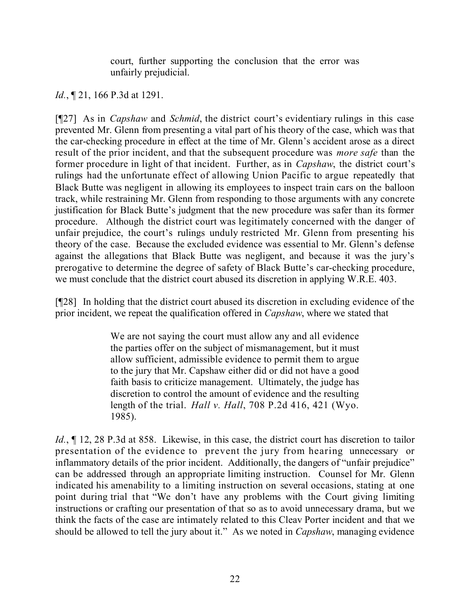court, further supporting the conclusion that the error was unfairly prejudicial.

## *Id.*, **[21, 166 P.3d at 1291.**

[¶27] As in *Capshaw* and *Schmid*, the district court's evidentiary rulings in this case prevented Mr. Glenn from presenting a vital part of his theory of the case, which was that the car-checking procedure in effect at the time of Mr. Glenn's accident arose as a direct result of the prior incident, and that the subsequent procedure was *more safe* than the former procedure in light of that incident. Further, as in *Capshaw*, the district court's rulings had the unfortunate effect of allowing Union Pacific to argue repeatedly that Black Butte was negligent in allowing its employees to inspect train cars on the balloon track, while restraining Mr. Glenn from responding to those arguments with any concrete justification for Black Butte's judgment that the new procedure was safer than its former procedure. Although the district court was legitimately concerned with the danger of unfair prejudice, the court's rulings unduly restricted Mr. Glenn from presenting his theory of the case. Because the excluded evidence was essential to Mr. Glenn's defense against the allegations that Black Butte was negligent, and because it was the jury's prerogative to determine the degree of safety of Black Butte's car-checking procedure, we must conclude that the district court abused its discretion in applying W.R.E. 403.

[¶28] In holding that the district court abused its discretion in excluding evidence of the prior incident, we repeat the qualification offered in *Capshaw*, where we stated that

> We are not saying the court must allow any and all evidence the parties offer on the subject of mismanagement, but it must allow sufficient, admissible evidence to permit them to argue to the jury that Mr. Capshaw either did or did not have a good faith basis to criticize management. Ultimately, the judge has discretion to control the amount of evidence and the resulting length of the trial. *Hall v. Hall*, 708 P.2d 416, 421 (Wyo. 1985).

*Id.*, ¶ 12, 28 P.3d at 858. Likewise, in this case, the district court has discretion to tailor presentation of the evidence to prevent the jury from hearing unnecessary or inflammatory details of the prior incident. Additionally, the dangers of "unfair prejudice" can be addressed through an appropriate limiting instruction. Counsel for Mr. Glenn indicated his amenability to a limiting instruction on several occasions, stating at one point during trial that "We don't have any problems with the Court giving limiting instructions or crafting our presentation of that so as to avoid unnecessary drama, but we think the facts of the case are intimately related to this Cleav Porter incident and that we should be allowed to tell the jury about it." As we noted in *Capshaw*, managing evidence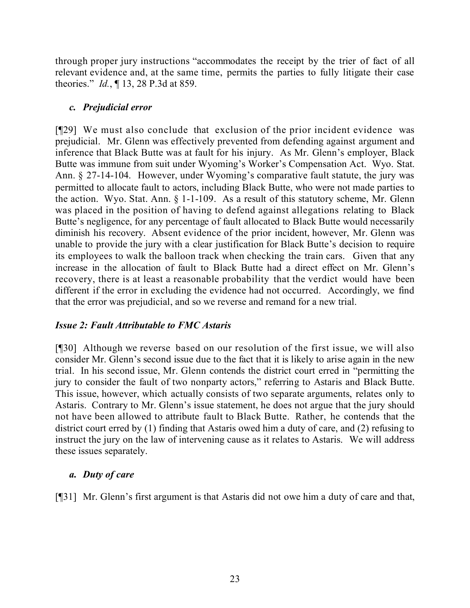through proper jury instructions "accommodates the receipt by the trier of fact of all relevant evidence and, at the same time, permits the parties to fully litigate their case theories." *Id.*, ¶ 13, 28 P.3d at 859.

## *c. Prejudicial error*

[¶29] We must also conclude that exclusion of the prior incident evidence was prejudicial. Mr. Glenn was effectively prevented from defending against argument and inference that Black Butte was at fault for his injury. As Mr. Glenn's employer, Black Butte was immune from suit under Wyoming's Worker's Compensation Act. Wyo. Stat. Ann. § 27-14-104. However, under Wyoming's comparative fault statute, the jury was permitted to allocate fault to actors, including Black Butte, who were not made parties to the action. Wyo. Stat. Ann. § 1-1-109. As a result of this statutory scheme, Mr. Glenn was placed in the position of having to defend against allegations relating to Black Butte's negligence, for any percentage of fault allocated to Black Butte would necessarily diminish his recovery. Absent evidence of the prior incident, however, Mr. Glenn was unable to provide the jury with a clear justification for Black Butte's decision to require its employees to walk the balloon track when checking the train cars. Given that any increase in the allocation of fault to Black Butte had a direct effect on Mr. Glenn's recovery, there is at least a reasonable probability that the verdict would have been different if the error in excluding the evidence had not occurred. Accordingly, we find that the error was prejudicial, and so we reverse and remand for a new trial.

# *Issue 2: Fault Attributable to FMC Astaris*

[¶30] Although we reverse based on our resolution of the first issue, we will also consider Mr. Glenn's second issue due to the fact that it is likely to arise again in the new trial. In his second issue, Mr. Glenn contends the district court erred in "permitting the jury to consider the fault of two nonparty actors," referring to Astaris and Black Butte. This issue, however, which actually consists of two separate arguments, relates only to Astaris. Contrary to Mr. Glenn's issue statement, he does not argue that the jury should not have been allowed to attribute fault to Black Butte. Rather, he contends that the district court erred by (1) finding that Astaris owed him a duty of care, and (2) refusing to instruct the jury on the law of intervening cause as it relates to Astaris. We will address these issues separately.

### *a. Duty of care*

[¶31] Mr. Glenn's first argument is that Astaris did not owe him a duty of care and that,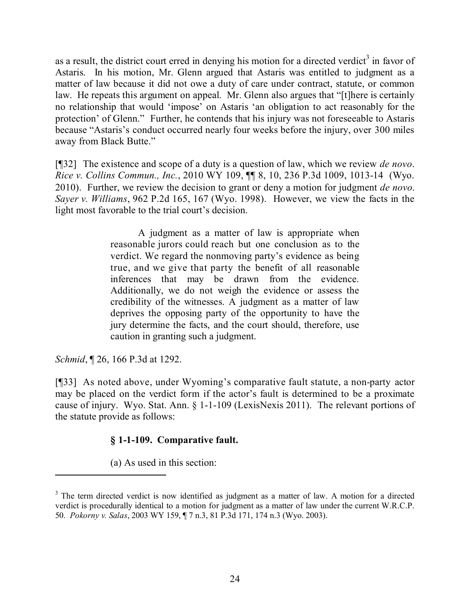as a result, the district court erred in denying his motion for a directed verdict<sup>3</sup> in favor of Astaris. In his motion, Mr. Glenn argued that Astaris was entitled to judgment as a matter of law because it did not owe a duty of care under contract, statute, or common law. He repeats this argument on appeal. Mr. Glenn also argues that "[t]here is certainly no relationship that would 'impose' on Astaris 'an obligation to act reasonably for the protection' of Glenn." Further, he contends that his injury was not foreseeable to Astaris because "Astaris's conduct occurred nearly four weeks before the injury, over 300 miles away from Black Butte."

[¶32] The existence and scope of a duty is a question of law, which we review *de novo*. *Rice v. Collins Commun., Inc.*, 2010 WY 109, ¶¶ 8, 10, 236 P.3d 1009, 1013-14 (Wyo. 2010). Further, we review the decision to grant or deny a motion for judgment *de novo*. *Sayer v. Williams*, 962 P.2d 165, 167 (Wyo. 1998). However, we view the facts in the light most favorable to the trial court's decision.

> A judgment as a matter of law is appropriate when reasonable jurors could reach but one conclusion as to the verdict. We regard the nonmoving party's evidence as being true, and we give that party the benefit of all reasonable inferences that may be drawn from the evidence. Additionally, we do not weigh the evidence or assess the credibility of the witnesses. A judgment as a matter of law deprives the opposing party of the opportunity to have the jury determine the facts, and the court should, therefore, use caution in granting such a judgment.

*Schmid*, ¶ 26, 166 P.3d at 1292.

[¶33] As noted above, under Wyoming's comparative fault statute, a non-party actor may be placed on the verdict form if the actor's fault is determined to be a proximate cause of injury. Wyo. Stat. Ann. § 1-1-109 (LexisNexis 2011). The relevant portions of the statute provide as follows:

# **§ 1-1-109. Comparative fault.**

(a) As used in this section: 

<sup>&</sup>lt;sup>3</sup> The term directed verdict is now identified as judgment as a matter of law. A motion for a directed verdict is procedurally identical to a motion for judgment as a matter of law under the current W.R.C.P. 50. *Pokorny v. Salas*, 2003 WY 159, ¶ 7 n.3, 81 P.3d 171, 174 n.3 (Wyo. 2003).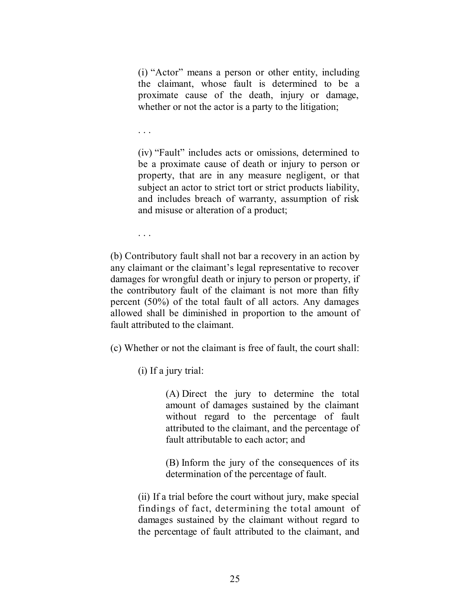(i) "Actor" means a person or other entity, including the claimant, whose fault is determined to be a proximate cause of the death, injury or damage, whether or not the actor is a party to the litigation;

. . .

(iv) "Fault" includes acts or omissions, determined to be a proximate cause of death or injury to person or property, that are in any measure negligent, or that subject an actor to strict tort or strict products liability, and includes breach of warranty, assumption of risk and misuse or alteration of a product;

. . .

(b) Contributory fault shall not bar a recovery in an action by any claimant or the claimant's legal representative to recover damages for wrongful death or injury to person or property, if the contributory fault of the claimant is not more than fifty percent (50%) of the total fault of all actors. Any damages allowed shall be diminished in proportion to the amount of fault attributed to the claimant.

(c) Whether or not the claimant is free of fault, the court shall:

(i) If a jury trial:

(A) Direct the jury to determine the total amount of damages sustained by the claimant without regard to the percentage of fault attributed to the claimant, and the percentage of fault attributable to each actor; and

(B) Inform the jury of the consequences of its determination of the percentage of fault.

(ii) If a trial before the court without jury, make special findings of fact, determining the total amount of damages sustained by the claimant without regard to the percentage of fault attributed to the claimant, and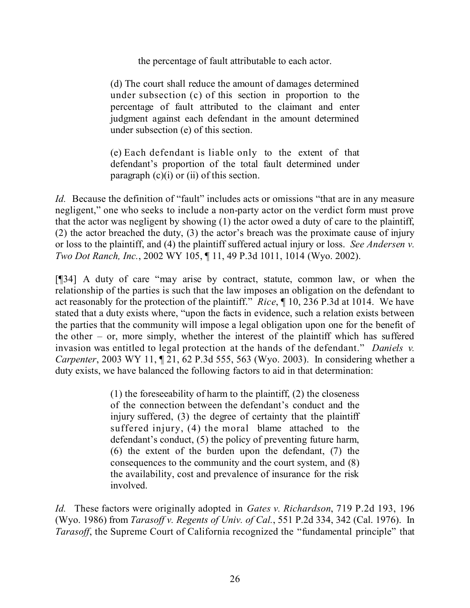the percentage of fault attributable to each actor.

(d) The court shall reduce the amount of damages determined under subsection (c) of this section in proportion to the percentage of fault attributed to the claimant and enter judgment against each defendant in the amount determined under subsection (e) of this section.

(e) Each defendant is liable only to the extent of that defendant's proportion of the total fault determined under paragraph  $(c)(i)$  or  $(ii)$  of this section.

*Id.* Because the definition of "fault" includes acts or omissions "that are in any measure negligent," one who seeks to include a non-party actor on the verdict form must prove that the actor was negligent by showing (1) the actor owed a duty of care to the plaintiff, (2) the actor breached the duty, (3) the actor's breach was the proximate cause of injury or loss to the plaintiff, and (4) the plaintiff suffered actual injury or loss. *See Andersen v. Two Dot Ranch, Inc.*, 2002 WY 105, ¶ 11, 49 P.3d 1011, 1014 (Wyo. 2002).

[¶34] A duty of care "may arise by contract, statute, common law, or when the relationship of the parties is such that the law imposes an obligation on the defendant to act reasonably for the protection of the plaintiff." *Rice*, ¶ 10, 236 P.3d at 1014. We have stated that a duty exists where, "upon the facts in evidence, such a relation exists between the parties that the community will impose a legal obligation upon one for the benefit of the other  $-$  or, more simply, whether the interest of the plaintiff which has suffered invasion was entitled to legal protection at the hands of the defendant." *Daniels v. Carpenter*, 2003 WY 11, ¶ 21, 62 P.3d 555, 563 (Wyo. 2003). In considering whether a duty exists, we have balanced the following factors to aid in that determination:

> (1) the foreseeability of harm to the plaintiff, (2) the closeness of the connection between the defendant's conduct and the injury suffered, (3) the degree of certainty that the plaintiff suffered injury, (4) the moral blame attached to the defendant's conduct, (5) the policy of preventing future harm, (6) the extent of the burden upon the defendant, (7) the consequences to the community and the court system, and (8) the availability, cost and prevalence of insurance for the risk involved.

*Id.* These factors were originally adopted in *Gates v. Richardson*, 719 P.2d 193, 196 (Wyo. 1986) from *Tarasoff v. Regents of Univ. of Cal.*, 551 P.2d 334, 342 (Cal. 1976). In *Tarasoff*, the Supreme Court of California recognized the "fundamental principle" that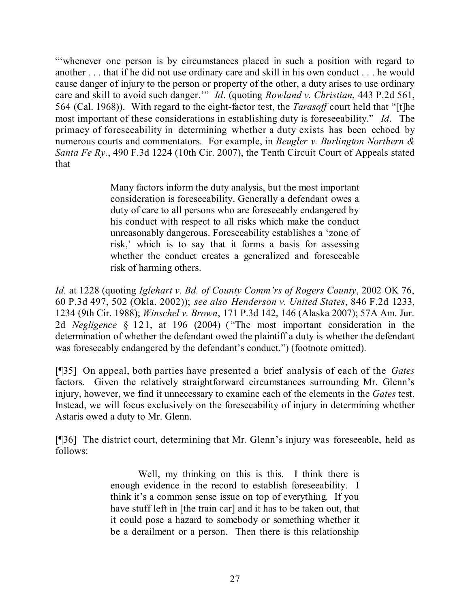"'whenever one person is by circumstances placed in such a position with regard to another . . . that if he did not use ordinary care and skill in his own conduct . . . he would cause danger of injury to the person or property of the other, a duty arises to use ordinary care and skill to avoid such danger.'" *Id*. (quoting *Rowland v. Christian*, 443 P.2d 561, 564 (Cal. 1968)). With regard to the eight-factor test, the *Tarasoff* court held that "[t]he most important of these considerations in establishing duty is foreseeability." *Id*. The primacy of foreseeability in determining whether a duty exists has been echoed by numerous courts and commentators. For example, in *Beugler v. Burlington Northern & Santa Fe Ry.*, 490 F.3d 1224 (10th Cir. 2007), the Tenth Circuit Court of Appeals stated that

> Many factors inform the duty analysis, but the most important consideration is foreseeability. Generally a defendant owes a duty of care to all persons who are foreseeably endangered by his conduct with respect to all risks which make the conduct unreasonably dangerous. Foreseeability establishes a 'zone of risk,' which is to say that it forms a basis for assessing whether the conduct creates a generalized and foreseeable risk of harming others.

*Id.* at 1228 (quoting *Iglehart v. Bd. of County Comm'rs of Rogers County*, 2002 OK 76, 60 P.3d 497, 502 (Okla. 2002)); *see also Henderson v. United States*, 846 F.2d 1233, 1234 (9th Cir. 1988); *Winschel v. Brown*, 171 P.3d 142, 146 (Alaska 2007); 57A Am. Jur. 2d *Negligence* § 121, at 196 (2004) ("The most important consideration in the determination of whether the defendant owed the plaintiff a duty is whether the defendant was foreseeably endangered by the defendant's conduct.") (footnote omitted).

[¶35] On appeal, both parties have presented a brief analysis of each of the *Gates* factors. Given the relatively straightforward circumstances surrounding Mr. Glenn's injury, however, we find it unnecessary to examine each of the elements in the *Gates* test. Instead, we will focus exclusively on the foreseeability of injury in determining whether Astaris owed a duty to Mr. Glenn.

[¶36] The district court, determining that Mr. Glenn's injury was foreseeable, held as follows:

> Well, my thinking on this is this. I think there is enough evidence in the record to establish foreseeability. I think it's a common sense issue on top of everything. If you have stuff left in [the train car] and it has to be taken out, that it could pose a hazard to somebody or something whether it be a derailment or a person. Then there is this relationship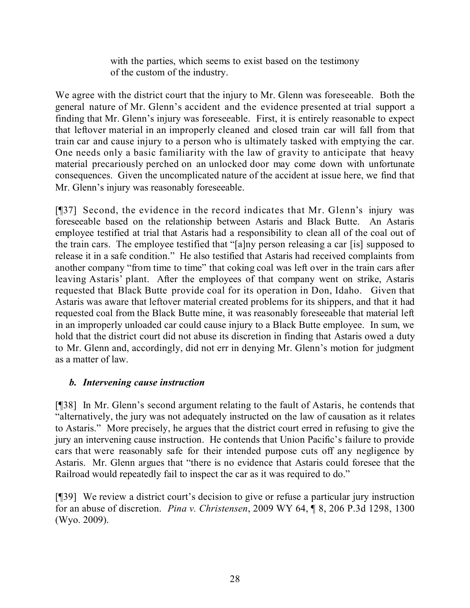with the parties, which seems to exist based on the testimony of the custom of the industry.

We agree with the district court that the injury to Mr. Glenn was foreseeable. Both the general nature of Mr. Glenn's accident and the evidence presented at trial support a finding that Mr. Glenn's injury was foreseeable. First, it is entirely reasonable to expect that leftover material in an improperly cleaned and closed train car will fall from that train car and cause injury to a person who is ultimately tasked with emptying the car. One needs only a basic familiarity with the law of gravity to anticipate that heavy material precariously perched on an unlocked door may come down with unfortunate consequences. Given the uncomplicated nature of the accident at issue here, we find that Mr. Glenn's injury was reasonably foreseeable.

[¶37] Second, the evidence in the record indicates that Mr. Glenn's injury was foreseeable based on the relationship between Astaris and Black Butte. An Astaris employee testified at trial that Astaris had a responsibility to clean all of the coal out of the train cars. The employee testified that "[a]ny person releasing a car [is] supposed to release it in a safe condition." He also testified that Astaris had received complaints from another company "from time to time" that coking coal was left over in the train cars after leaving Astaris' plant. After the employees of that company went on strike, Astaris requested that Black Butte provide coal for its operation in Don, Idaho. Given that Astaris was aware that leftover material created problems for its shippers, and that it had requested coal from the Black Butte mine, it was reasonably foreseeable that material left in an improperly unloaded car could cause injury to a Black Butte employee. In sum, we hold that the district court did not abuse its discretion in finding that Astaris owed a duty to Mr. Glenn and, accordingly, did not err in denying Mr. Glenn's motion for judgment as a matter of law.

# *b. Intervening cause instruction*

[¶38] In Mr. Glenn's second argument relating to the fault of Astaris, he contends that "alternatively, the jury was not adequately instructed on the law of causation as it relates to Astaris." More precisely, he argues that the district court erred in refusing to give the jury an intervening cause instruction. He contends that Union Pacific's failure to provide cars that were reasonably safe for their intended purpose cuts off any negligence by Astaris. Mr. Glenn argues that "there is no evidence that Astaris could foresee that the Railroad would repeatedly fail to inspect the car as it was required to do."

[¶39] We review a district court's decision to give or refuse a particular jury instruction for an abuse of discretion. *Pina v. Christensen*, 2009 WY 64, ¶ 8, 206 P.3d 1298, 1300 (Wyo. 2009).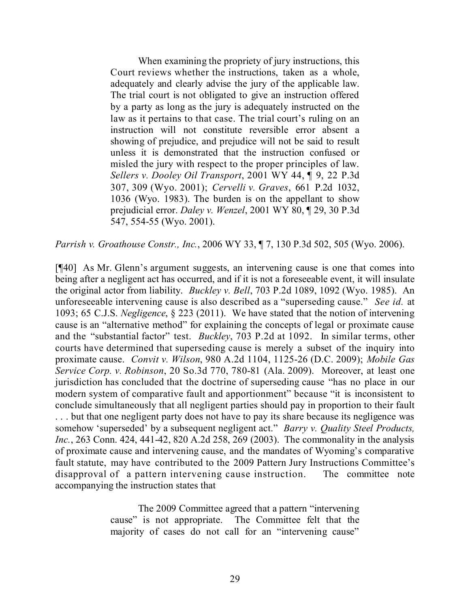When examining the propriety of jury instructions, this Court reviews whether the instructions, taken as a whole, adequately and clearly advise the jury of the applicable law. The trial court is not obligated to give an instruction offered by a party as long as the jury is adequately instructed on the law as it pertains to that case. The trial court's ruling on an instruction will not constitute reversible error absent a showing of prejudice, and prejudice will not be said to result unless it is demonstrated that the instruction confused or misled the jury with respect to the proper principles of law. *Sellers v. Dooley Oil Transport*, 2001 WY 44, ¶ 9, 22 P.3d 307, 309 (Wyo. 2001); *Cervelli v. Graves*, 661 P.2d 1032, 1036 (Wyo. 1983). The burden is on the appellant to show prejudicial error. *Daley v. Wenzel*, 2001 WY 80, ¶ 29, 30 P.3d 547, 554-55 (Wyo. 2001).

*Parrish v. Groathouse Constr., Inc.*, 2006 WY 33, ¶ 7, 130 P.3d 502, 505 (Wyo. 2006).

[¶40] As Mr. Glenn's argument suggests, an intervening cause is one that comes into being after a negligent act has occurred, and if it is not a foreseeable event, it will insulate the original actor from liability. *Buckley v. Bell*, 703 P.2d 1089, 1092 (Wyo. 1985). An unforeseeable intervening cause is also described as a "superseding cause." *See id.* at 1093; 65 C.J.S. *Negligence*, § 223 (2011). We have stated that the notion of intervening cause is an "alternative method" for explaining the concepts of legal or proximate cause and the "substantial factor" test. *Buckley*, 703 P.2d at 1092. In similar terms, other courts have determined that superseding cause is merely a subset of the inquiry into proximate cause. *Convit v. Wilson*, 980 A.2d 1104, 1125-26 (D.C. 2009); *Mobile Gas Service Corp. v. Robinson*, 20 So.3d 770, 780-81 (Ala. 2009). Moreover, at least one jurisdiction has concluded that the doctrine of superseding cause "has no place in our modern system of comparative fault and apportionment" because "it is inconsistent to conclude simultaneously that all negligent parties should pay in proportion to their fault . . . but that one negligent party does not have to pay its share because its negligence was somehow 'superseded' by a subsequent negligent act." *Barry v. Quality Steel Products, Inc.*, 263 Conn. 424, 441-42, 820 A.2d 258, 269 (2003). The commonality in the analysis of proximate cause and intervening cause, and the mandates of Wyoming's comparative fault statute, may have contributed to the 2009 Pattern Jury Instructions Committee's disapproval of a pattern intervening cause instruction. The committee note accompanying the instruction states that

> The 2009 Committee agreed that a pattern "intervening cause" is not appropriate. The Committee felt that the majority of cases do not call for an "intervening cause"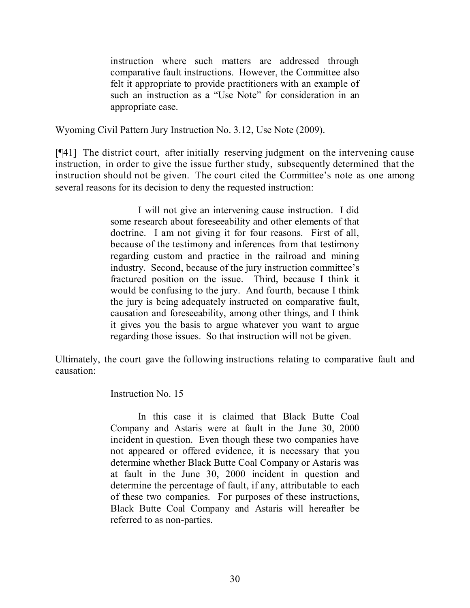instruction where such matters are addressed through comparative fault instructions. However, the Committee also felt it appropriate to provide practitioners with an example of such an instruction as a "Use Note" for consideration in an appropriate case.

Wyoming Civil Pattern Jury Instruction No. 3.12, Use Note (2009).

[¶41] The district court, after initially reserving judgment on the intervening cause instruction, in order to give the issue further study, subsequently determined that the instruction should not be given. The court cited the Committee's note as one among several reasons for its decision to deny the requested instruction:

> I will not give an intervening cause instruction. I did some research about foreseeability and other elements of that doctrine. I am not giving it for four reasons. First of all, because of the testimony and inferences from that testimony regarding custom and practice in the railroad and mining industry. Second, because of the jury instruction committee's fractured position on the issue. Third, because I think it would be confusing to the jury. And fourth, because I think the jury is being adequately instructed on comparative fault, causation and foreseeability, among other things, and I think it gives you the basis to argue whatever you want to argue regarding those issues. So that instruction will not be given.

Ultimately, the court gave the following instructions relating to comparative fault and causation:

Instruction No. 15

In this case it is claimed that Black Butte Coal Company and Astaris were at fault in the June 30, 2000 incident in question. Even though these two companies have not appeared or offered evidence, it is necessary that you determine whether Black Butte Coal Company or Astaris was at fault in the June 30, 2000 incident in question and determine the percentage of fault, if any, attributable to each of these two companies. For purposes of these instructions, Black Butte Coal Company and Astaris will hereafter be referred to as non-parties.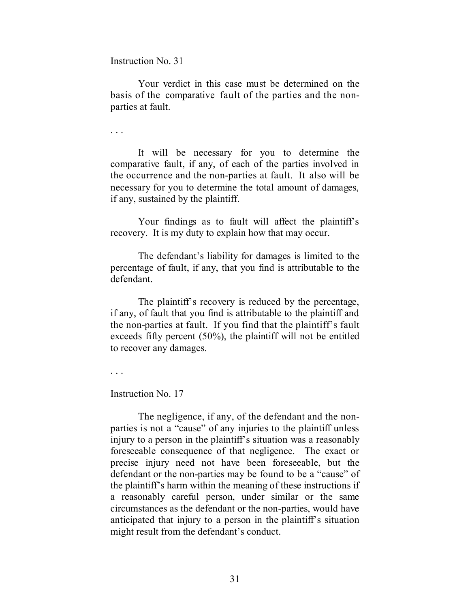Instruction No. 31

Your verdict in this case must be determined on the basis of the comparative fault of the parties and the nonparties at fault.

. . .

It will be necessary for you to determine the comparative fault, if any, of each of the parties involved in the occurrence and the non-parties at fault. It also will be necessary for you to determine the total amount of damages, if any, sustained by the plaintiff.

Your findings as to fault will affect the plaintiff's recovery. It is my duty to explain how that may occur.

The defendant's liability for damages is limited to the percentage of fault, if any, that you find is attributable to the defendant.

The plaintiff's recovery is reduced by the percentage, if any, of fault that you find is attributable to the plaintiff and the non-parties at fault. If you find that the plaintiff's fault exceeds fifty percent (50%), the plaintiff will not be entitled to recover any damages.

. . .

Instruction No. 17

The negligence, if any, of the defendant and the nonparties is not a "cause" of any injuries to the plaintiff unless injury to a person in the plaintiff's situation was a reasonably foreseeable consequence of that negligence. The exact or precise injury need not have been foreseeable, but the defendant or the non-parties may be found to be a "cause" of the plaintiff's harm within the meaning of these instructions if a reasonably careful person, under similar or the same circumstances as the defendant or the non-parties, would have anticipated that injury to a person in the plaintiff's situation might result from the defendant's conduct.